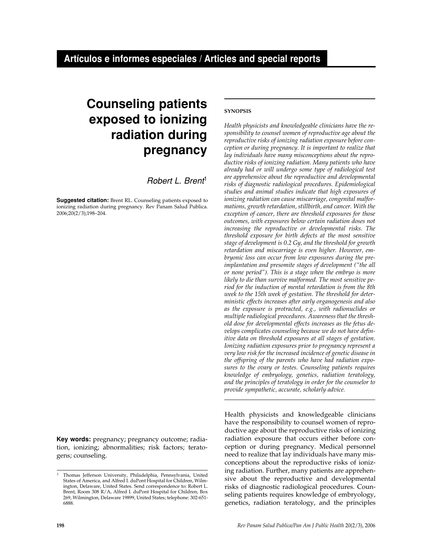# **Counseling patients exposed to ionizing radiation during pregnancy**

Robert L. Brent<sup>1</sup>

**Suggested citation:** Brent RL. Counseling patients exposed to ionizing radiation during pregnancy. Rev Panam Salud Publica. 2006;20(2/3);198–204.

**Key words:** pregnancy; pregnancy outcome; radiation, ionizing; abnormalities; risk factors; teratogens; counseling.

## **SYNOPSIS**

*Health physicists and knowledgeable clinicians have the responsibility to counsel women of reproductive age about the reproductive risks of ionizing radiation exposure before conception or during pregnancy. It is important to realize that lay individuals have many misconceptions about the reproductive risks of ionizing radiation. Many patients who have already had or will undergo some type of radiological test are apprehensive about the reproductive and developmental risks of diagnostic radiological procedures. Epidemiological studies and animal studies indicate that high exposures of ionizing radiation can cause miscarriage, congenital malformations, growth retardation, stillbirth, and cancer. With the exception of cancer, there are threshold exposures for those outcomes, with exposures below certain radiation doses not increasing the reproductive or developmental risks. The threshold exposure for birth defects at the most sensitive stage of development is 0.2 Gy, and the threshold for growth retardation and miscarriage is even higher. However, embryonic loss can occur from low exposures during the preimplantation and presomite stages of development ("the all or none period"). This is a stage when the embryo is more likely to die than survive malformed. The most sensitive period for the induction of mental retardation is from the 8th week to the 15th week of gestation. The threshold for deterministic effects increases after early organogenesis and also as the exposure is protracted, e.g., with radionuclides or multiple radiological procedures. Awareness that the threshold dose for developmental effects increases as the fetus develops complicates counseling because we do not have definitive data on threshold exposures at all stages of gestation. Ionizing radiation exposures prior to pregnancy represent a very low risk for the increased incidence of genetic disease in the offspring of the parents who have had radiation exposures to the ovary or testes. Counseling patients requires knowledge of embryology, genetics, radiation teratology, and the principles of teratology in order for the counselor to provide sympathetic, accurate, scholarly advice.*

Health physicists and knowledgeable clinicians have the responsibility to counsel women of reproductive age about the reproductive risks of ionizing radiation exposure that occurs either before conception or during pregnancy. Medical personnel need to realize that lay individuals have many misconceptions about the reproductive risks of ionizing radiation. Further, many patients are apprehensive about the reproductive and developmental risks of diagnostic radiological procedures. Counseling patients requires knowledge of embryology, genetics, radiation teratology, and the principles

<sup>1</sup> Thomas Jefferson University, Philadelphia, Pennsylvania, United States of America, and Alfred I. duPont Hospital for Children, Wilmington, Delaware, United States. Send correspondence to: Robert L. Brent, Room 308 R/A, Alfred I. duPont Hospital for Children, Box 269, Wilmington, Delaware 19899, United States; telephone: 302-651- 6888.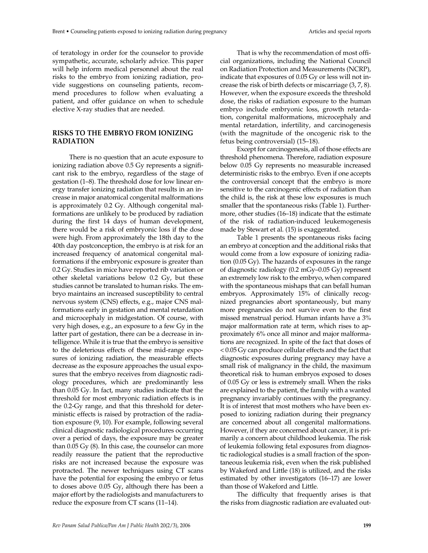of teratology in order for the counselor to provide sympathetic, accurate, scholarly advice. This paper will help inform medical personnel about the real risks to the embryo from ionizing radiation, provide suggestions on counseling patients, recommend procedures to follow when evaluating a patient, and offer guidance on when to schedule elective X-ray studies that are needed.

## **RISKS TO THE EMBRYO FROM IONIZING RADIATION**

There is no question that an acute exposure to ionizing radiation above 0.5 Gy represents a significant risk to the embryo, regardless of the stage of gestation (1–8). The threshold dose for low linear energy transfer ionizing radiation that results in an increase in major anatomical congenital malformations is approximately 0.2 Gy. Although congenital malformations are unlikely to be produced by radiation during the first 14 days of human development, there would be a risk of embryonic loss if the dose were high. From approximately the 18th day to the 40th day postconception, the embryo is at risk for an increased frequency of anatomical congenital malformations if the embryonic exposure is greater than 0.2 Gy. Studies in mice have reported rib variation or other skeletal variations below 0.2 Gy, but these studies cannot be translated to human risks. The embryo maintains an increased susceptibility to central nervous system (CNS) effects, e.g., major CNS malformations early in gestation and mental retardation and microcephaly in midgestation. Of course, with very high doses, e.g., an exposure to a few Gy in the latter part of gestation, there can be a decrease in intelligence. While it is true that the embryo is sensitive to the deleterious effects of these mid-range exposures of ionizing radiation, the measurable effects decrease as the exposure approaches the usual exposures that the embryo receives from diagnostic radiology procedures, which are predominantly less than 0.05 Gy. In fact, many studies indicate that the threshold for most embryonic radiation effects is in the 0.2-Gy range, and that this threshold for deterministic effects is raised by protraction of the radiation exposure (9, 10). For example, following several clinical diagnostic radiological procedures occurring over a period of days, the exposure may be greater than 0.05 Gy (8). In this case, the counselor can more readily reassure the patient that the reproductive risks are not increased because the exposure was protracted. The newer techniques using CT scans have the potential for exposing the embryo or fetus to doses above 0.05 Gy, although there has been a major effort by the radiologists and manufacturers to reduce the exposure from CT scans (11–14).

That is why the recommendation of most official organizations, including the National Council on Radiation Protection and Measurements (NCRP), indicate that exposures of 0.05 Gy or less will not increase the risk of birth defects or miscarriage (3, 7, 8). However, when the exposure exceeds the threshold dose, the risks of radiation exposure to the human embryo include embryonic loss, growth retardation, congenital malformations, microcephaly and mental retardation, infertility, and carcinogenesis (with the magnitude of the oncogenic risk to the fetus being controversial) (15–18).

Except for carcinogenesis, all of those effects are threshold phenomena. Therefore, radiation exposure below 0.05 Gy represents no measurable increased deterministic risks to the embryo. Even if one accepts the controversial concept that the embryo is more sensitive to the carcinogenic effects of radiation than the child is, the risk at these low exposures is much smaller that the spontaneous risks (Table 1). Furthermore, other studies (16–18) indicate that the estimate of the risk of radiation-induced leukemogenesis made by Stewart et al. (15) is exaggerated.

Table 1 presents the spontaneous risks facing an embryo at conception and the additional risks that would come from a low exposure of ionizing radiation (0.05 Gy). The hazards of exposures in the range of diagnostic radiology (0.2 mGy–0.05 Gy) represent an extremely low risk to the embryo, when compared with the spontaneous mishaps that can befall human embryos. Approximately 15% of clinically recognized pregnancies abort spontaneously, but many more pregnancies do not survive even to the first missed menstrual period. Human infants have a 3% major malformation rate at term, which rises to approximately 6% once all minor and major malformations are recognized. In spite of the fact that doses of < 0.05 Gy can produce cellular effects and the fact that diagnostic exposures during pregnancy may have a small risk of malignancy in the child, the maximum theoretical risk to human embryos exposed to doses of 0.05 Gy or less is extremely small. When the risks are explained to the patient, the family with a wanted pregnancy invariably continues with the pregnancy. It is of interest that most mothers who have been exposed to ionizing radiation during their pregnancy are concerned about all congenital malformations. However, if they are concerned about cancer, it is primarily a concern about childhood leukemia. The risk of leukemia following fetal exposures from diagnostic radiological studies is a small fraction of the spontaneous leukemia risk, even when the risk published by Wakeford and Little (18) is utilized, and the risks estimated by other investigators (16–17) are lower than those of Wakeford and Little.

The difficulty that frequently arises is that the risks from diagnostic radiation are evaluated out-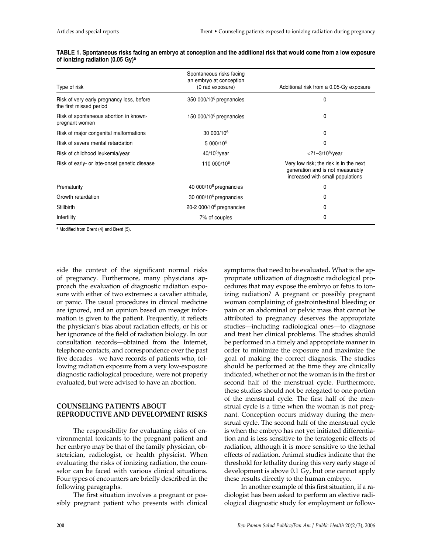| Type of risk                                             | Spontaneous risks facing<br>an embryo at conception<br>(0 rad exposure) | Additional risk from a 0.05-Gy exposure                                                                        |
|----------------------------------------------------------|-------------------------------------------------------------------------|----------------------------------------------------------------------------------------------------------------|
|                                                          |                                                                         |                                                                                                                |
| Risk of spontaneous abortion in known-<br>pregnant women | 150 000/10 $6$ pregnancies                                              | 0                                                                                                              |
| Risk of major congenital malformations                   | 30 000/10 <sup>6</sup>                                                  | 0                                                                                                              |
| Risk of severe mental retardation                        | 5 000/10 <sup>6</sup>                                                   | 0                                                                                                              |
| Risk of childhood leukemia/year                          | $40/10^6$ /year                                                         | $<$ ?1-3/10 <sup>6</sup> /year                                                                                 |
| Risk of early- or late-onset genetic disease             | 110 000/10 <sup>6</sup>                                                 | Very low risk; the risk is in the next<br>generation and is not measurably<br>increased with small populations |
| Prematurity                                              | 40 000/10 $6$ pregnancies                                               | $\mathbf{0}$                                                                                                   |
| Growth retardation                                       | 30 000/10 $6$ pregnancies                                               | 0                                                                                                              |
| Stillbirth                                               | $20-2000/106$ pregnancies                                               | 0                                                                                                              |
| Infertility                                              | 7% of couples                                                           | 0                                                                                                              |

#### **TABLE 1. Spontaneous risks facing an embryo at conception and the additional risk that would come from a low exposure of ionizing radiation (0.05 Gy)<sup>a</sup>**

<sup>a</sup> Modified from Brent (4) and Brent (5).

side the context of the significant normal risks of pregnancy. Furthermore, many physicians approach the evaluation of diagnostic radiation exposure with either of two extremes: a cavalier attitude, or panic. The usual procedures in clinical medicine are ignored, and an opinion based on meager information is given to the patient. Frequently, it reflects the physician's bias about radiation effects, or his or her ignorance of the field of radiation biology. In our consultation records—obtained from the Internet, telephone contacts, and correspondence over the past five decades—we have records of patients who, following radiation exposure from a very low-exposure diagnostic radiological procedure, were not properly evaluated, but were advised to have an abortion.

## **COUNSELING PATIENTS ABOUT REPRODUCTIVE AND DEVELOPMENT RISKS**

The responsibility for evaluating risks of environmental toxicants to the pregnant patient and her embryo may be that of the family physician, obstetrician, radiologist, or health physicist. When evaluating the risks of ionizing radiation, the counselor can be faced with various clinical situations. Four types of encounters are briefly described in the following paragraphs.

The first situation involves a pregnant or possibly pregnant patient who presents with clinical symptoms that need to be evaluated. What is the appropriate utilization of diagnostic radiological procedures that may expose the embryo or fetus to ionizing radiation? A pregnant or possibly pregnant woman complaining of gastrointestinal bleeding or pain or an abdominal or pelvic mass that cannot be attributed to pregnancy deserves the appropriate studies—including radiological ones—to diagnose and treat her clinical problems. The studies should be performed in a timely and appropriate manner in order to minimize the exposure and maximize the goal of making the correct diagnosis. The studies should be performed at the time they are clinically indicated, whether or not the woman is in the first or second half of the menstrual cycle. Furthermore, these studies should not be relegated to one portion of the menstrual cycle. The first half of the menstrual cycle is a time when the woman is not pregnant. Conception occurs midway during the menstrual cycle. The second half of the menstrual cycle is when the embryo has not yet initiated differentiation and is less sensitive to the teratogenic effects of radiation, although it is more sensitive to the lethal effects of radiation. Animal studies indicate that the threshold for lethality during this very early stage of development is above 0.1 Gy, but one cannot apply these results directly to the human embryo.

In another example of this first situation, if a radiologist has been asked to perform an elective radiological diagnostic study for employment or follow-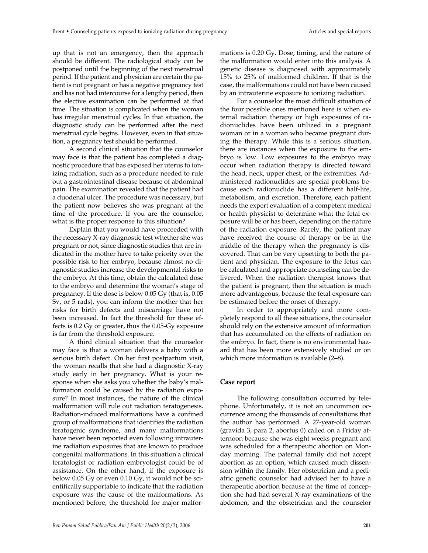up that is not an emergency, then the approach should be different. The radiological study can be postponed until the beginning of the next menstrual period. If the patient and physician are certain the patient is not pregnant or has a negative pregnancy test and has not had intercourse for a lengthy period, then the elective examination can be performed at that time. The situation is complicated when the woman has irregular menstrual cycles. In that situation, the diagnostic study can be performed after the next menstrual cycle begins. However, even in that situation, a pregnancy test should be performed.

A second clinical situation that the counselor may face is that the patient has completed a diagnostic procedure that has exposed her uterus to ionizing radiation, such as a procedure needed to rule out a gastrointestinal disease because of abdominal pain. The examination revealed that the patient had a duodenal ulcer. The procedure was necessary, but the patient now believes she was pregnant at the time of the procedure. If you are the counselor, what is the proper response to this situation?

Explain that you would have proceeded with the necessary X-ray diagnostic test whether she was pregnant or not, since diagnostic studies that are indicated in the mother have to take priority over the possible risk to her embryo, because almost no diagnostic studies increase the developmental risks to the embryo. At this time, obtain the calculated dose to the embryo and determine the woman's stage of pregnancy. If the dose is below 0.05 Gy (that is, 0.05 Sv, or 5 rads), you can inform the mother that her risks for birth defects and miscarriage have not been increased. In fact the threshold for these effects is 0.2 Gy or greater, thus the 0.05-Gy exposure is far from the threshold exposure.

A third clinical situation that the counselor may face is that a woman delivers a baby with a serious birth defect. On her first postpartum visit, the woman recalls that she had a diagnostic X-ray study early in her pregnancy. What is your response when she asks you whether the baby's malformation could be caused by the radiation exposure? In most instances, the nature of the clinical malformation will rule out radiation teratogenesis. Radiation-induced malformations have a confined group of malformations that identifies the radiation teratogenic syndrome, and many malformations have never been reported even following intrauterine radiation exposures that are known to produce congenital malformations. In this situation a clinical teratologist or radiation embryologist could be of assistance. On the other hand, if the exposure is below 0.05 Gy or even 0.10 Gy, it would not be scientifically supportable to indicate that the radiation exposure was the cause of the malformations. As mentioned before, the threshold for major malformations is 0.20 Gy. Dose, timing, and the nature of the malformation would enter into this analysis. A genetic disease is diagnosed with approximately 15% to 25% of malformed children. If that is the case, the malformations could not have been caused by an intrauterine exposure to ionizing radiation.

For a counselor the most difficult situation of the four possible ones mentioned here is when external radiation therapy or high exposures of radionuclides have been utilized in a pregnant woman or in a woman who became pregnant during the therapy. While this is a serious situation, there are instances when the exposure to the embryo is low. Low exposures to the embryo may occur when radiation therapy is directed toward the head, neck, upper chest, or the extremities. Administered radionuclides are special problems because each radionuclide has a different half-life, metabolism, and excretion. Therefore, each patient needs the expert evaluation of a competent medical or health physicist to determine what the fetal exposure will be or has been, depending on the nature of the radiation exposure. Rarely, the patient may have received the course of therapy or be in the middle of the therapy when the pregnancy is discovered. That can be very upsetting to both the patient and physician. The exposure to the fetus can be calculated and appropriate counseling can be delivered. When the radiation therapist knows that the patient is pregnant, then the situation is much more advantageous, because the fetal exposure can be estimated before the onset of therapy.

In order to appropriately and more completely respond to all these situations, the counselor should rely on the extensive amount of information that has accumulated on the effects of radiation on the embryo. In fact, there is no environmental hazard that has been more extensively studied or on which more information is available (2–8).

# **Case report**

The following consultation occurred by telephone. Unfortunately, it is not an uncommon occurrence among the thousands of consultations that the author has performed. A 27-year-old woman (gravida 3, para 2, abortus 0) called on a Friday afternoon because she was eight weeks pregnant and was scheduled for a therapeutic abortion on Monday morning. The paternal family did not accept abortion as an option, which caused much dissension within the family. Her obstetrician and a pediatric genetic counselor had advised her to have a therapeutic abortion because at the time of conception she had had several X-ray examinations of the abdomen, and the obstetrician and the counselor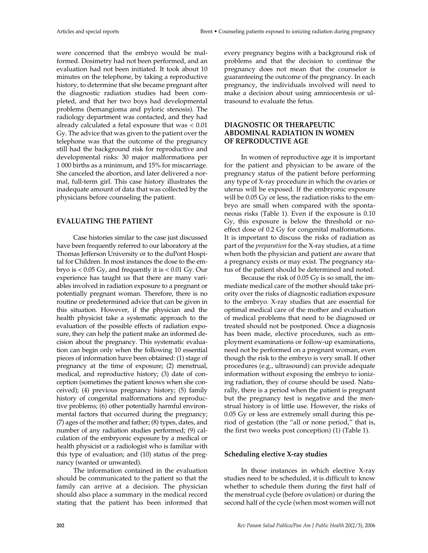were concerned that the embryo would be malformed. Dosimetry had not been performed, and an evaluation had not been initiated. It took about 10 minutes on the telephone, by taking a reproductive history, to determine that she became pregnant after the diagnostic radiation studies had been completed, and that her two boys had developmental problems (hemangioma and pyloric stenosis). The radiology department was contacted, and they had already calculated a fetal exposure that was < 0.01 Gy. The advice that was given to the patient over the telephone was that the outcome of the pregnancy still had the background risk for reproductive and developmental risks: 30 major malformations per 1 000 births as a minimum, and 15% for miscarriage. She canceled the abortion, and later delivered a normal, full-term girl. This case history illustrates the inadequate amount of data that was collected by the physicians before counseling the patient.

#### **EVALUATING THE PATIENT**

Case histories similar to the case just discussed have been frequently referred to our laboratory at the Thomas Jefferson University or to the duPont Hospital for Children. In most instances the dose to the embryo is < 0.05 Gy, and frequently it is < 0.01 Gy. Our experience has taught us that there are many variables involved in radiation exposure to a pregnant or potentially pregnant woman. Therefore, there is no routine or predetermined advice that can be given in this situation. However, if the physician and the health physicist take a systematic approach to the evaluation of the possible effects of radiation exposure, they can help the patient make an informed decision about the pregnancy. This systematic evaluation can begin only when the following 10 essential pieces of information have been obtained: (1) stage of pregnancy at the time of exposure; (2) menstrual, medical, and reproductive history; (3) date of conception (sometimes the patient knows when she conceived); (4) previous pregnancy history; (5) family history of congenital malformations and reproductive problems; (6) other potentially harmful environmental factors that occurred during the pregnancy; (7) ages of the mother and father; (8) types, dates, and number of any radiation studies performed; (9) calculation of the embryonic exposure by a medical or health physicist or a radiologist who is familiar with this type of evaluation; and (10) status of the pregnancy (wanted or unwanted).

The information contained in the evaluation should be communicated to the patient so that the family can arrive at a decision. The physician should also place a summary in the medical record stating that the patient has been informed that every pregnancy begins with a background risk of problems and that the decision to continue the pregnancy does not mean that the counselor is guaranteeing the outcome of the pregnancy. In each pregnancy, the individuals involved will need to make a decision about using amniocentesis or ultrasound to evaluate the fetus.

## **DIAGNOSTIC OR THERAPEUTIC ABDOMINAL RADIATION IN WOMEN OF REPRODUCTIVE AGE**

In women of reproductive age it is important for the patient and physician to be aware of the pregnancy status of the patient before performing any type of X-ray procedure in which the ovaries or uterus will be exposed. If the embryonic exposure will be 0.05 Gy or less, the radiation risks to the embryo are small when compared with the spontaneous risks (Table 1). Even if the exposure is 0.10 Gy, this exposure is below the threshold or noeffect dose of 0.2 Gy for congenital malformations. It is important to discuss the risks of radiation as part of the *preparation* for the X-ray studies, at a time when both the physician and patient are aware that a pregnancy exists or may exist. The pregnancy status of the patient should be determined and noted.

Because the risk of 0.05 Gy is so small, the immediate medical care of the mother should take priority over the risks of diagnostic radiation exposure to the embryo. X-ray studies that are essential for optimal medical care of the mother and evaluation of medical problems that need to be diagnosed or treated should not be postponed. Once a diagnosis has been made, elective procedures, such as employment examinations or follow-up examinations, need not be performed on a pregnant woman, even though the risk to the embryo is very small. If other procedures (e.g., ultrasound) can provide adequate information without exposing the embryo to ionizing radiation, they of course should be used. Naturally, there is a period when the patient is pregnant but the pregnancy test is negative and the menstrual history is of little use. However, the risks of 0.05 Gy or less are extremely small during this period of gestation (the "all or none period," that is, the first two weeks post conception) (1) (Table 1).

#### **Scheduling elective X-ray studies**

In those instances in which elective X-ray studies need to be scheduled, it is difficult to know whether to schedule them during the first half of the menstrual cycle (before ovulation) or during the second half of the cycle (when most women will not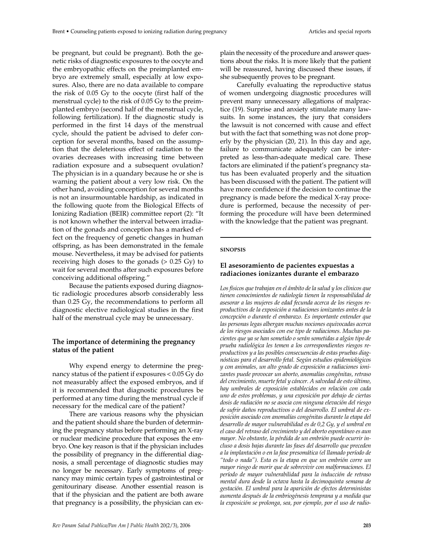be pregnant, but could be pregnant). Both the genetic risks of diagnostic exposures to the oocyte and the embryopathic effects on the preimplanted embryo are extremely small, especially at low exposures. Also, there are no data available to compare the risk of 0.05 Gy to the oocyte (first half of the menstrual cycle) to the risk of 0.05 Gy to the preimplanted embryo (second half of the menstrual cycle, following fertilization). If the diagnostic study is performed in the first 14 days of the menstrual cycle, should the patient be advised to defer conception for several months, based on the assumption that the deleterious effect of radiation to the ovaries decreases with increasing time between radiation exposure and a subsequent ovulation? The physician is in a quandary because he or she is warning the patient about a very low risk. On the other hand, avoiding conception for several months is not an insurmountable hardship, as indicated in the following quote from the Biological Effects of Ionizing Radiation (BEIR) committee report (2): "It is not known whether the interval between irradiation of the gonads and conception has a marked effect on the frequency of genetic changes in human offspring, as has been demonstrated in the female mouse. Nevertheless, it may be advised for patients receiving high doses to the gonads  $(> 0.25 \text{ Gy})$  to wait for several months after such exposures before conceiving additional offspring."

Because the patients exposed during diagnostic radiologic procedures absorb considerably less than 0.25 Gy, the recommendations to perform all diagnostic elective radiological studies in the first half of the menstrual cycle may be unnecessary.

## **The importance of determining the pregnancy status of the patient**

Why expend energy to determine the pregnancy status of the patient if exposures < 0.05 Gy do not measurably affect the exposed embryos, and if it is recommended that diagnostic procedures be performed at any time during the menstrual cycle if necessary for the medical care of the patient?

There are various reasons why the physician and the patient should share the burden of determining the pregnancy status before performing an X-ray or nuclear medicine procedure that exposes the embryo. One key reason is that if the physician includes the possibility of pregnancy in the differential diagnosis, a small percentage of diagnostic studies may no longer be necessary. Early symptoms of pregnancy may mimic certain types of gastrointestinal or genitourinary disease. Another essential reason is that if the physician and the patient are both aware that pregnancy is a possibility, the physician can explain the necessity of the procedure and answer questions about the risks. It is more likely that the patient will be reassured, having discussed these issues, if she subsequently proves to be pregnant.

Carefully evaluating the reproductive status of women undergoing diagnostic procedures will prevent many unnecessary allegations of malpractice (19). Surprise and anxiety stimulate many lawsuits. In some instances, the jury that considers the lawsuit is not concerned with cause and effect but with the fact that something was not done properly by the physician (20, 21). In this day and age, failure to communicate adequately can be interpreted as less-than-adequate medical care. These factors are eliminated if the patient's pregnancy status has been evaluated properly and the situation has been discussed with the patient. The patient will have more confidence if the decision to continue the pregnancy is made before the medical X-ray procedure is performed, because the necessity of performing the procedure will have been determined with the knowledge that the patient was pregnant.

#### **SINOPSIS**

#### **El asesoramiento de pacientes expuestas a radiaciones ionizantes durante el embarazo**

*Los físicos que trabajan en el ámbito de la salud y los clínicos que tienen conocimientos de radiología tienen la responsabilidad de asesorar a las mujeres de edad fecunda acerca de los riesgos reproductivos de la exposición a radiaciones ionizantes antes de la concepción o durante el embarazo. Es importante entender que las personas legas albergan muchas nociones equivocadas acerca de los riesgos asociados con ese tipo de radiaciones. Muchas pacientes que ya se han sometido o serán sometidas a algún tipo de prueba radiológica les temen a los correspondientes riesgos reproductivos y a las posibles consecuencias de estas pruebas diagnósticas para el desarrollo fetal. Según estudios epidemiológicos y con animales, un alto grado de exposición a radiaciones ionizantes puede provocar un aborto, anomalías congénitas, retraso del crecimiento, muerte fetal y cáncer. A salvedad de esto último, hay umbrales de exposición establecidos en relación con cada uno de estos problemas, y una exposición por debajo de ciertas dosis de radiación no se asocia con ninguna elevación del riesgo de sufrir daños reproductivos o del desarrollo. El umbral de exposición asociado con anomalías congénitas durante la etapa del desarrollo de mayor vulnerabilidad es de 0,2 Gy, y el umbral en el caso del retraso del crecimiento y del aborto espontáneo es aun mayor. No obstante, la pérdida de un embrión puede ocurrir incluso a dosis bajas durante las fases del desarrollo que preceden a la implantación o en la fase presomática (el llamado período de "todo o nada"). Esta es la etapa en que un embrión corre un mayor riesgo de morir que de sobrevivir con malformaciones. El período de mayor vulnerabilidad para la inducción de retraso mental dura desde la octava hasta la decimoquinta semana de gestación. El umbral para la aparición de efectos deterministas aumenta después de la embriogénesis temprana y a medida que la exposición se prolonga, sea, por ejemplo, por el uso de radio-*